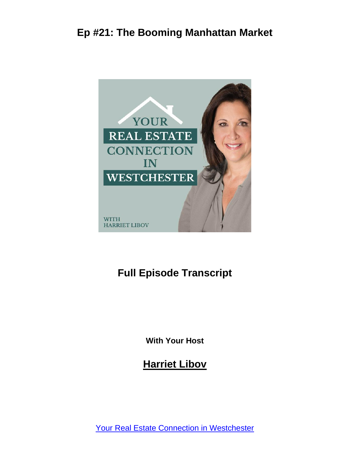

#### **Full Episode Transcript**

**With Your Host**

**Harriet Libov**

[Your Real Estate Connection in Westchester](https://connectnorthofnyc.com/podcast)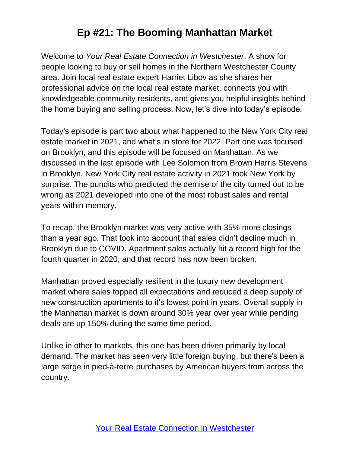Welcome to *Your Real Estate Connection in Westchester*. A show for people looking to buy or sell homes in the Northern Westchester County area. Join local real estate expert Harriet Libov as she shares her professional advice on the local real estate market, connects you with knowledgeable community residents, and gives you helpful insights behind the home buying and selling process. Now, let's dive into today's episode.

Today's episode is part two about what happened to the New York City real estate market in 2021, and what's in store for 2022. Part one was focused on Brooklyn, and this episode will be focused on Manhattan. As we discussed in the last episode with Lee Solomon from Brown Harris Stevens in Brooklyn, New York City real estate activity in 2021 took New York by surprise. The pundits who predicted the demise of the city turned out to be wrong as 2021 developed into one of the most robust sales and rental years within memory.

To recap, the Brooklyn market was very active with 35% more closings than a year ago. That took into account that sales didn't decline much in Brooklyn due to COVID. Apartment sales actually hit a record high for the fourth quarter in 2020, and that record has now been broken.

Manhattan proved especially resilient in the luxury new development market where sales topped all expectations and reduced a deep supply of new construction apartments to it's lowest point in years. Overall supply in the Manhattan market is down around 30% year over year while pending deals are up 150% during the same time period.

Unlike in other to markets, this one has been driven primarily by local demand. The market has seen very little foreign buying, but there's been a large serge in pied-à-terre purchases by American buyers from across the country.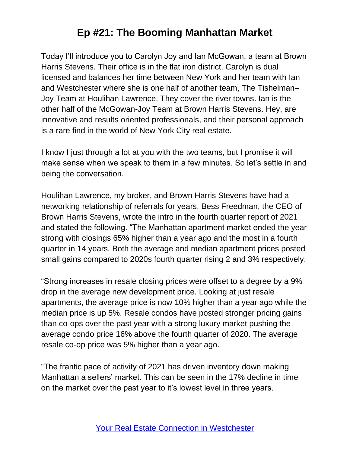Today I'll introduce you to Carolyn Joy and Ian McGowan, a team at Brown Harris Stevens. Their office is in the flat iron district. Carolyn is dual licensed and balances her time between New York and her team with Ian and Westchester where she is one half of another team, The Tishelman– Joy Team at Houlihan Lawrence. They cover the river towns. Ian is the other half of the McGowan-Joy Team at Brown Harris Stevens. Hey, are innovative and results oriented professionals, and their personal approach is a rare find in the world of New York City real estate.

I know I just through a lot at you with the two teams, but I promise it will make sense when we speak to them in a few minutes. So let's settle in and being the conversation.

Houlihan Lawrence, my broker, and Brown Harris Stevens have had a networking relationship of referrals for years. Bess Freedman, the CEO of Brown Harris Stevens, wrote the intro in the fourth quarter report of 2021 and stated the following. "The Manhattan apartment market ended the year strong with closings 65% higher than a year ago and the most in a fourth quarter in 14 years. Both the average and median apartment prices posted small gains compared to 2020s fourth quarter rising 2 and 3% respectively.

"Strong increases in resale closing prices were offset to a degree by a 9% drop in the average new development price. Looking at just resale apartments, the average price is now 10% higher than a year ago while the median price is up 5%. Resale condos have posted stronger pricing gains than co-ops over the past year with a strong luxury market pushing the average condo price 16% above the fourth quarter of 2020. The average resale co-op price was 5% higher than a year ago.

"The frantic pace of activity of 2021 has driven inventory down making Manhattan a sellers' market. This can be seen in the 17% decline in time on the market over the past year to it's lowest level in three years.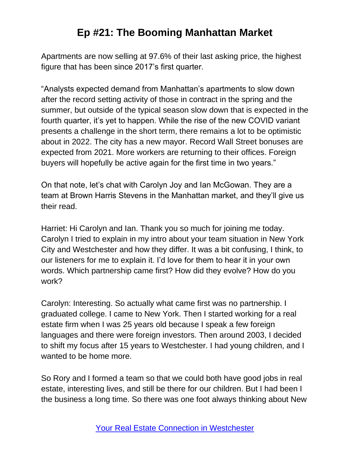Apartments are now selling at 97.6% of their last asking price, the highest figure that has been since 2017's first quarter.

"Analysts expected demand from Manhattan's apartments to slow down after the record setting activity of those in contract in the spring and the summer, but outside of the typical season slow down that is expected in the fourth quarter, it's yet to happen. While the rise of the new COVID variant presents a challenge in the short term, there remains a lot to be optimistic about in 2022. The city has a new mayor. Record Wall Street bonuses are expected from 2021. More workers are returning to their offices. Foreign buyers will hopefully be active again for the first time in two years."

On that note, let's chat with Carolyn Joy and Ian McGowan. They are a team at Brown Harris Stevens in the Manhattan market, and they'll give us their read.

Harriet: Hi Carolyn and Ian. Thank you so much for joining me today. Carolyn I tried to explain in my intro about your team situation in New York City and Westchester and how they differ. It was a bit confusing, I think, to our listeners for me to explain it. I'd love for them to hear it in your own words. Which partnership came first? How did they evolve? How do you work?

Carolyn: Interesting. So actually what came first was no partnership. I graduated college. I came to New York. Then I started working for a real estate firm when I was 25 years old because I speak a few foreign languages and there were foreign investors. Then around 2003, I decided to shift my focus after 15 years to Westchester. I had young children, and I wanted to be home more.

So Rory and I formed a team so that we could both have good jobs in real estate, interesting lives, and still be there for our children. But I had been I the business a long time. So there was one foot always thinking about New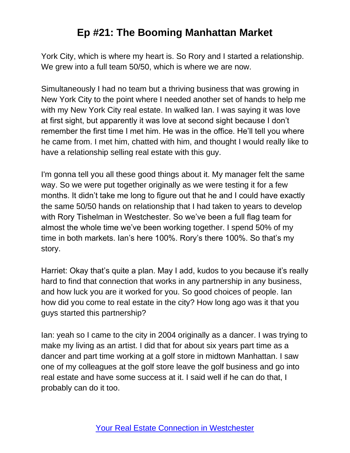York City, which is where my heart is. So Rory and I started a relationship. We grew into a full team 50/50, which is where we are now.

Simultaneously I had no team but a thriving business that was growing in New York City to the point where I needed another set of hands to help me with my New York City real estate. In walked Ian. I was saying it was love at first sight, but apparently it was love at second sight because I don't remember the first time I met him. He was in the office. He'll tell you where he came from. I met him, chatted with him, and thought I would really like to have a relationship selling real estate with this guy.

I'm gonna tell you all these good things about it. My manager felt the same way. So we were put together originally as we were testing it for a few months. It didn't take me long to figure out that he and I could have exactly the same 50/50 hands on relationship that I had taken to years to develop with Rory Tishelman in Westchester. So we've been a full flag team for almost the whole time we've been working together. I spend 50% of my time in both markets. Ian's here 100%. Rory's there 100%. So that's my story.

Harriet: Okay that's quite a plan. May I add, kudos to you because it's really hard to find that connection that works in any partnership in any business, and how luck you are it worked for you. So good choices of people. Ian how did you come to real estate in the city? How long ago was it that you guys started this partnership?

Ian: yeah so I came to the city in 2004 originally as a dancer. I was trying to make my living as an artist. I did that for about six years part time as a dancer and part time working at a golf store in midtown Manhattan. I saw one of my colleagues at the golf store leave the golf business and go into real estate and have some success at it. I said well if he can do that, I probably can do it too.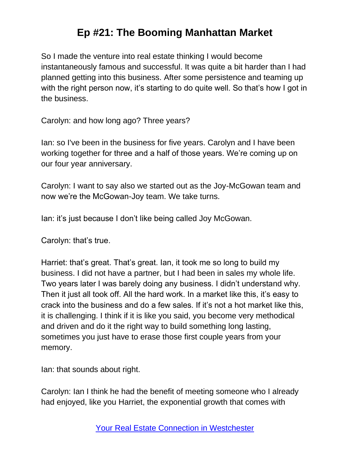So I made the venture into real estate thinking I would become instantaneously famous and successful. It was quite a bit harder than I had planned getting into this business. After some persistence and teaming up with the right person now, it's starting to do quite well. So that's how I got in the business.

Carolyn: and how long ago? Three years?

Ian: so I've been in the business for five years. Carolyn and I have been working together for three and a half of those years. We're coming up on our four year anniversary.

Carolyn: I want to say also we started out as the Joy-McGowan team and now we're the McGowan-Joy team. We take turns.

Ian: it's just because I don't like being called Joy McGowan.

Carolyn: that's true.

Harriet: that's great. That's great. Ian, it took me so long to build my business. I did not have a partner, but I had been in sales my whole life. Two years later I was barely doing any business. I didn't understand why. Then it just all took off. All the hard work. In a market like this, it's easy to crack into the business and do a few sales. If it's not a hot market like this, it is challenging. I think if it is like you said, you become very methodical and driven and do it the right way to build something long lasting, sometimes you just have to erase those first couple years from your memory.

Ian: that sounds about right.

Carolyn: Ian I think he had the benefit of meeting someone who I already had enjoyed, like you Harriet, the exponential growth that comes with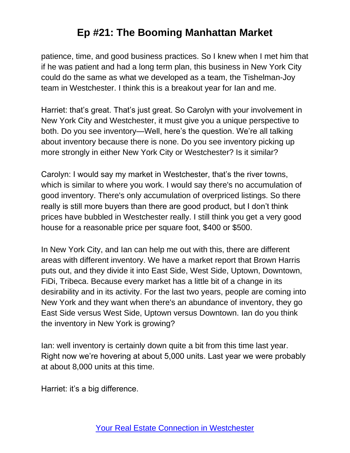patience, time, and good business practices. So I knew when I met him that if he was patient and had a long term plan, this business in New York City could do the same as what we developed as a team, the Tishelman-Joy team in Westchester. I think this is a breakout year for Ian and me.

Harriet: that's great. That's just great. So Carolyn with your involvement in New York City and Westchester, it must give you a unique perspective to both. Do you see inventory—Well, here's the question. We're all talking about inventory because there is none. Do you see inventory picking up more strongly in either New York City or Westchester? Is it similar?

Carolyn: I would say my market in Westchester, that's the river towns, which is similar to where you work. I would say there's no accumulation of good inventory. There's only accumulation of overpriced listings. So there really is still more buyers than there are good product, but I don't think prices have bubbled in Westchester really. I still think you get a very good house for a reasonable price per square foot, \$400 or \$500.

In New York City, and Ian can help me out with this, there are different areas with different inventory. We have a market report that Brown Harris puts out, and they divide it into East Side, West Side, Uptown, Downtown, FiDi, Tribeca. Because every market has a little bit of a change in its desirability and in its activity. For the last two years, people are coming into New York and they want when there's an abundance of inventory, they go East Side versus West Side, Uptown versus Downtown. Ian do you think the inventory in New York is growing?

Ian: well inventory is certainly down quite a bit from this time last year. Right now we're hovering at about 5,000 units. Last year we were probably at about 8,000 units at this time.

Harriet: it's a big difference.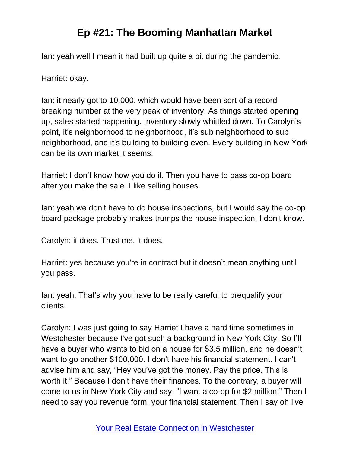Ian: yeah well I mean it had built up quite a bit during the pandemic.

Harriet: okay.

Ian: it nearly got to 10,000, which would have been sort of a record breaking number at the very peak of inventory. As things started opening up, sales started happening. Inventory slowly whittled down. To Carolyn's point, it's neighborhood to neighborhood, it's sub neighborhood to sub neighborhood, and it's building to building even. Every building in New York can be its own market it seems.

Harriet: I don't know how you do it. Then you have to pass co-op board after you make the sale. I like selling houses.

Ian: yeah we don't have to do house inspections, but I would say the co-op board package probably makes trumps the house inspection. I don't know.

Carolyn: it does. Trust me, it does.

Harriet: yes because you're in contract but it doesn't mean anything until you pass.

Ian: yeah. That's why you have to be really careful to prequalify your clients.

Carolyn: I was just going to say Harriet I have a hard time sometimes in Westchester because I've got such a background in New York City. So I'll have a buyer who wants to bid on a house for \$3.5 million, and he doesn't want to go another \$100,000. I don't have his financial statement. I can't advise him and say, "Hey you've got the money. Pay the price. This is worth it." Because I don't have their finances. To the contrary, a buyer will come to us in New York City and say, "I want a co-op for \$2 million." Then I need to say you revenue form, your financial statement. Then I say oh I've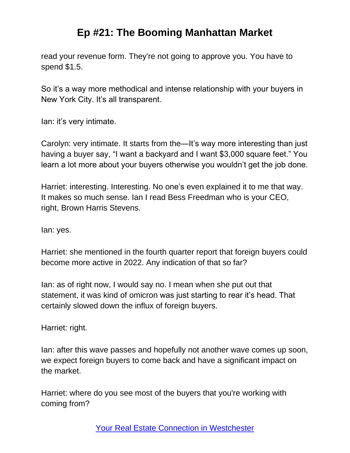read your revenue form. They're not going to approve you. You have to spend \$1.5.

So it's a way more methodical and intense relationship with your buyers in New York City. It's all transparent.

Ian: it's very intimate.

Carolyn: very intimate. It starts from the—It's way more interesting than just having a buyer say, "I want a backyard and I want \$3,000 square feet." You learn a lot more about your buyers otherwise you wouldn't get the job done.

Harriet: interesting. Interesting. No one's even explained it to me that way. It makes so much sense. Ian I read Bess Freedman who is your CEO, right, Brown Harris Stevens.

Ian: yes.

Harriet: she mentioned in the fourth quarter report that foreign buyers could become more active in 2022. Any indication of that so far?

Ian: as of right now, I would say no. I mean when she put out that statement, it was kind of omicron was just starting to rear it's head. That certainly slowed down the influx of foreign buyers.

Harriet: right.

Ian: after this wave passes and hopefully not another wave comes up soon, we expect foreign buyers to come back and have a significant impact on the market.

Harriet: where do you see most of the buyers that you're working with coming from?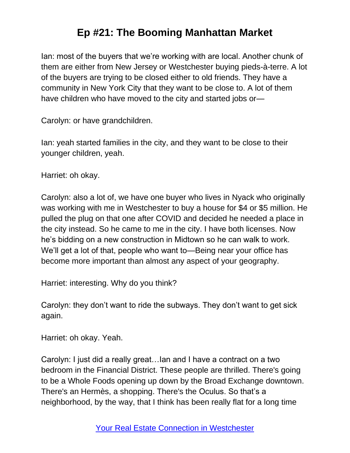Ian: most of the buyers that we're working with are local. Another chunk of them are either from New Jersey or Westchester buying pieds-à-terre. A lot of the buyers are trying to be closed either to old friends. They have a community in New York City that they want to be close to. A lot of them have children who have moved to the city and started jobs or—

Carolyn: or have grandchildren.

Ian: yeah started families in the city, and they want to be close to their younger children, yeah.

Harriet: oh okay.

Carolyn: also a lot of, we have one buyer who lives in Nyack who originally was working with me in Westchester to buy a house for \$4 or \$5 million. He pulled the plug on that one after COVID and decided he needed a place in the city instead. So he came to me in the city. I have both licenses. Now he's bidding on a new construction in Midtown so he can walk to work. We'll get a lot of that, people who want to—Being near your office has become more important than almost any aspect of your geography.

Harriet: interesting. Why do you think?

Carolyn: they don't want to ride the subways. They don't want to get sick again.

Harriet: oh okay. Yeah.

Carolyn: I just did a really great…Ian and I have a contract on a two bedroom in the Financial District. These people are thrilled. There's going to be a Whole Foods opening up down by the Broad Exchange downtown. There's an Hermès, a shopping. There's the Oculus. So that's a neighborhood, by the way, that I think has been really flat for a long time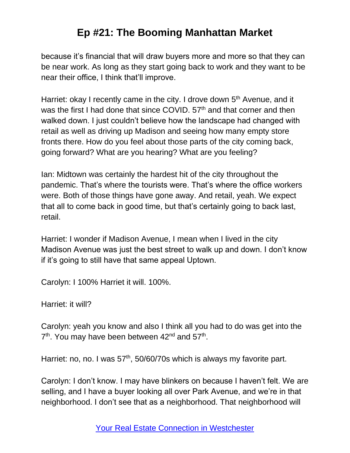because it's financial that will draw buyers more and more so that they can be near work. As long as they start going back to work and they want to be near their office, I think that'll improve.

Harriet: okay I recently came in the city. I drove down 5<sup>th</sup> Avenue, and it was the first I had done that since COVID. 57<sup>th</sup> and that corner and then walked down. I just couldn't believe how the landscape had changed with retail as well as driving up Madison and seeing how many empty store fronts there. How do you feel about those parts of the city coming back, going forward? What are you hearing? What are you feeling?

Ian: Midtown was certainly the hardest hit of the city throughout the pandemic. That's where the tourists were. That's where the office workers were. Both of those things have gone away. And retail, yeah. We expect that all to come back in good time, but that's certainly going to back last, retail.

Harriet: I wonder if Madison Avenue, I mean when I lived in the city Madison Avenue was just the best street to walk up and down. I don't know if it's going to still have that same appeal Uptown.

Carolyn: I 100% Harriet it will. 100%.

Harriet: it will?

Carolyn: yeah you know and also I think all you had to do was get into the 7<sup>th</sup>. You may have been between 42<sup>nd</sup> and 57<sup>th</sup>.

Harriet: no, no. I was 57<sup>th</sup>, 50/60/70s which is always my favorite part.

Carolyn: I don't know. I may have blinkers on because I haven't felt. We are selling, and I have a buyer looking all over Park Avenue, and we're in that neighborhood. I don't see that as a neighborhood. That neighborhood will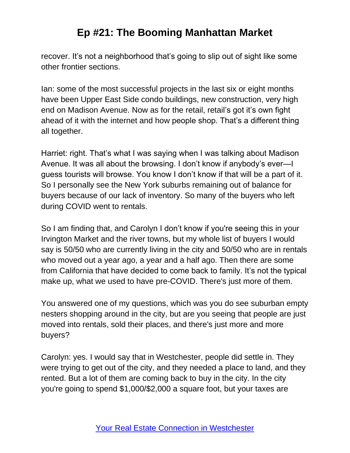recover. It's not a neighborhood that's going to slip out of sight like some other frontier sections.

Ian: some of the most successful projects in the last six or eight months have been Upper East Side condo buildings, new construction, very high end on Madison Avenue. Now as for the retail, retail's got it's own fight ahead of it with the internet and how people shop. That's a different thing all together.

Harriet: right. That's what I was saying when I was talking about Madison Avenue. It was all about the browsing. I don't know if anybody's ever—I guess tourists will browse. You know I don't know if that will be a part of it. So I personally see the New York suburbs remaining out of balance for buyers because of our lack of inventory. So many of the buyers who left during COVID went to rentals.

So I am finding that, and Carolyn I don't know if you're seeing this in your Irvington Market and the river towns, but my whole list of buyers I would say is 50/50 who are currently living in the city and 50/50 who are in rentals who moved out a year ago, a year and a half ago. Then there are some from California that have decided to come back to family. It's not the typical make up, what we used to have pre-COVID. There's just more of them.

You answered one of my questions, which was you do see suburban empty nesters shopping around in the city, but are you seeing that people are just moved into rentals, sold their places, and there's just more and more buyers?

Carolyn: yes. I would say that in Westchester, people did settle in. They were trying to get out of the city, and they needed a place to land, and they rented. But a lot of them are coming back to buy in the city. In the city you're going to spend \$1,000/\$2,000 a square foot, but your taxes are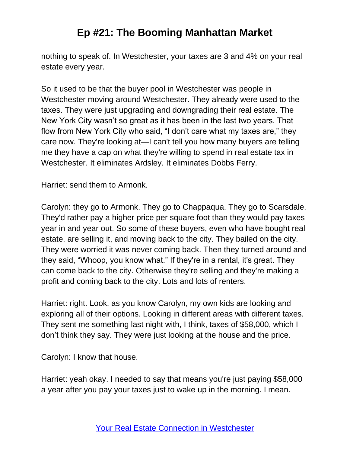nothing to speak of. In Westchester, your taxes are 3 and 4% on your real estate every year.

So it used to be that the buyer pool in Westchester was people in Westchester moving around Westchester. They already were used to the taxes. They were just upgrading and downgrading their real estate. The New York City wasn't so great as it has been in the last two years. That flow from New York City who said, "I don't care what my taxes are," they care now. They're looking at—I can't tell you how many buyers are telling me they have a cap on what they're willing to spend in real estate tax in Westchester. It eliminates Ardsley. It eliminates Dobbs Ferry.

Harriet: send them to Armonk.

Carolyn: they go to Armonk. They go to Chappaqua. They go to Scarsdale. They'd rather pay a higher price per square foot than they would pay taxes year in and year out. So some of these buyers, even who have bought real estate, are selling it, and moving back to the city. They bailed on the city. They were worried it was never coming back. Then they turned around and they said, "Whoop, you know what." If they're in a rental, it's great. They can come back to the city. Otherwise they're selling and they're making a profit and coming back to the city. Lots and lots of renters.

Harriet: right. Look, as you know Carolyn, my own kids are looking and exploring all of their options. Looking in different areas with different taxes. They sent me something last night with, I think, taxes of \$58,000, which I don't think they say. They were just looking at the house and the price.

Carolyn: I know that house.

Harriet: yeah okay. I needed to say that means you're just paying \$58,000 a year after you pay your taxes just to wake up in the morning. I mean.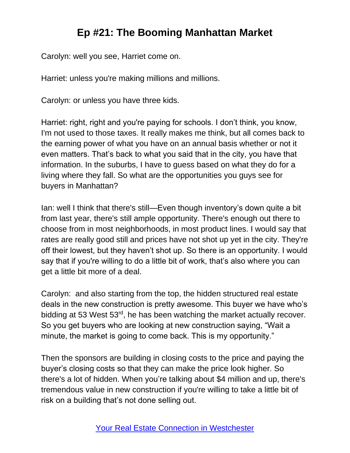Carolyn: well you see, Harriet come on.

Harriet: unless you're making millions and millions.

Carolyn: or unless you have three kids.

Harriet: right, right and you're paying for schools. I don't think, you know, I'm not used to those taxes. It really makes me think, but all comes back to the earning power of what you have on an annual basis whether or not it even matters. That's back to what you said that in the city, you have that information. In the suburbs, I have to guess based on what they do for a living where they fall. So what are the opportunities you guys see for buyers in Manhattan?

Ian: well I think that there's still—Even though inventory's down quite a bit from last year, there's still ample opportunity. There's enough out there to choose from in most neighborhoods, in most product lines. I would say that rates are really good still and prices have not shot up yet in the city. They're off their lowest, but they haven't shot up. So there is an opportunity. I would say that if you're willing to do a little bit of work, that's also where you can get a little bit more of a deal.

Carolyn: and also starting from the top, the hidden structured real estate deals in the new construction is pretty awesome. This buyer we have who's bidding at 53 West 53<sup>rd</sup>, he has been watching the market actually recover. So you get buyers who are looking at new construction saying, "Wait a minute, the market is going to come back. This is my opportunity."

Then the sponsors are building in closing costs to the price and paying the buyer's closing costs so that they can make the price look higher. So there's a lot of hidden. When you're talking about \$4 million and up, there's tremendous value in new construction if you're willing to take a little bit of risk on a building that's not done selling out.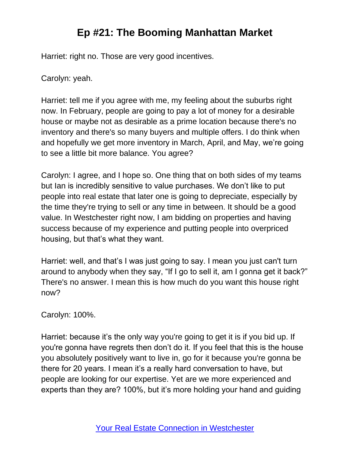Harriet: right no. Those are very good incentives.

Carolyn: yeah.

Harriet: tell me if you agree with me, my feeling about the suburbs right now. In February, people are going to pay a lot of money for a desirable house or maybe not as desirable as a prime location because there's no inventory and there's so many buyers and multiple offers. I do think when and hopefully we get more inventory in March, April, and May, we're going to see a little bit more balance. You agree?

Carolyn: I agree, and I hope so. One thing that on both sides of my teams but Ian is incredibly sensitive to value purchases. We don't like to put people into real estate that later one is going to depreciate, especially by the time they're trying to sell or any time in between. It should be a good value. In Westchester right now, I am bidding on properties and having success because of my experience and putting people into overpriced housing, but that's what they want.

Harriet: well, and that's I was just going to say. I mean you just can't turn around to anybody when they say, "If I go to sell it, am I gonna get it back?" There's no answer. I mean this is how much do you want this house right now?

Carolyn: 100%.

Harriet: because it's the only way you're going to get it is if you bid up. If you're gonna have regrets then don't do it. If you feel that this is the house you absolutely positively want to live in, go for it because you're gonna be there for 20 years. I mean it's a really hard conversation to have, but people are looking for our expertise. Yet are we more experienced and experts than they are? 100%, but it's more holding your hand and guiding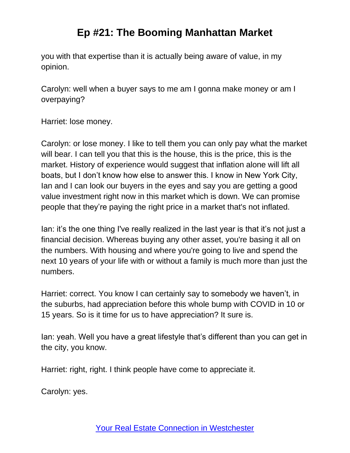you with that expertise than it is actually being aware of value, in my opinion.

Carolyn: well when a buyer says to me am I gonna make money or am I overpaying?

Harriet: lose money.

Carolyn: or lose money. I like to tell them you can only pay what the market will bear. I can tell you that this is the house, this is the price, this is the market. History of experience would suggest that inflation alone will lift all boats, but I don't know how else to answer this. I know in New York City, Ian and I can look our buyers in the eyes and say you are getting a good value investment right now in this market which is down. We can promise people that they're paying the right price in a market that's not inflated.

Ian: it's the one thing I've really realized in the last year is that it's not just a financial decision. Whereas buying any other asset, you're basing it all on the numbers. With housing and where you're going to live and spend the next 10 years of your life with or without a family is much more than just the numbers.

Harriet: correct. You know I can certainly say to somebody we haven't, in the suburbs, had appreciation before this whole bump with COVID in 10 or 15 years. So is it time for us to have appreciation? It sure is.

Ian: yeah. Well you have a great lifestyle that's different than you can get in the city, you know.

Harriet: right, right. I think people have come to appreciate it.

Carolyn: yes.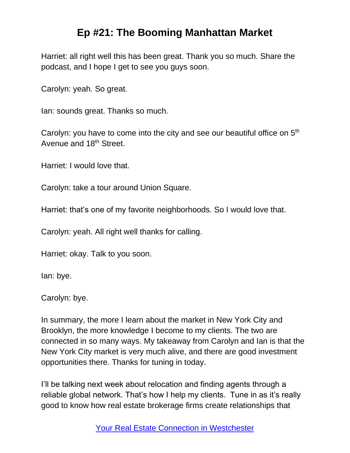Harriet: all right well this has been great. Thank you so much. Share the podcast, and I hope I get to see you guys soon.

Carolyn: yeah. So great.

Ian: sounds great. Thanks so much.

Carolyn: you have to come into the city and see our beautiful office on 5<sup>th</sup> Avenue and 18th Street.

Harriet: I would love that.

Carolyn: take a tour around Union Square.

Harriet: that's one of my favorite neighborhoods. So I would love that.

Carolyn: yeah. All right well thanks for calling.

Harriet: okay. Talk to you soon.

Ian: bye.

Carolyn: bye.

In summary, the more I learn about the market in New York City and Brooklyn, the more knowledge I become to my clients. The two are connected in so many ways. My takeaway from Carolyn and Ian is that the New York City market is very much alive, and there are good investment opportunities there. Thanks for tuning in today.

I'll be talking next week about relocation and finding agents through a reliable global network. That's how I help my clients. Tune in as it's really good to know how real estate brokerage firms create relationships that